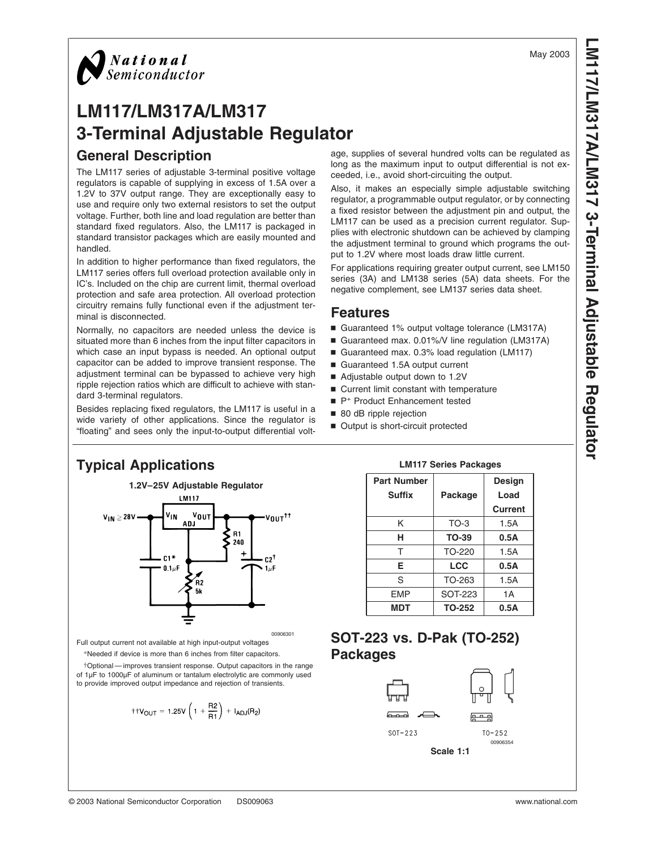**LM117/LM317A/LM3173-TerminalAdjustable Regulator**

# *National*<br>Semiconductor

# **LM117/LM317A/LM317 3-Terminal Adjustable Regulator General Description**

The LM117 series of adjustable 3-terminal positive voltage regulators is capable of supplying in excess of 1.5A over a 1.2V to 37V output range. They are exceptionally easy to use and require only two external resistors to set the output voltage. Further, both line and load regulation are better than standard fixed regulators. Also, the LM117 is packaged in standard transistor packages which are easily mounted and handled.

In addition to higher performance than fixed regulators, the LM117 series offers full overload protection available only in IC's. Included on the chip are current limit, thermal overload protection and safe area protection. All overload protection circuitry remains fully functional even if the adjustment terminal is disconnected.

Normally, no capacitors are needed unless the device is situated more than 6 inches from the input filter capacitors in which case an input bypass is needed. An optional output capacitor can be added to improve transient response. The adjustment terminal can be bypassed to achieve very high ripple rejection ratios which are difficult to achieve with standard 3-terminal regulators.

Besides replacing fixed regulators, the LM117 is useful in a wide variety of other applications. Since the regulator is "floating" and sees only the input-to-output differential voltage, supplies of several hundred volts can be regulated as long as the maximum input to output differential is not exceeded, i.e., avoid short-circuiting the output.

Also, it makes an especially simple adjustable switching regulator, a programmable output regulator, or by connecting a fixed resistor between the adjustment pin and output, the LM117 can be used as a precision current regulator. Supplies with electronic shutdown can be achieved by clamping the adjustment terminal to ground which programs the output to 1.2V where most loads draw little current.

For applications requiring greater output current, see LM150 series (3A) and LM138 series (5A) data sheets. For the negative complement, see LM137 series data sheet.

#### **Features**

- Guaranteed 1% output voltage tolerance (LM317A)
- Guaranteed max. 0.01%/V line regulation (LM317A)
- Guaranteed max. 0.3% load regulation (LM117)
- Guaranteed 1.5A output current
- Adjustable output down to 1.2V
- Current limit constant with temperature
- P<sup>+</sup> Product Enhancement tested
- 80 dB ripple rejection
- Output is short-circuit protected

# **Typical Applications**



00906301 Full output current not available at high input-output voltages

\*Needed if device is more than 6 inches from filter capacitors.

†Optional — improves transient response. Output capacitors in the range of 1µF to 1000µF of aluminum or tantalum electrolytic are commonly used to provide improved output impedance and rejection of transients.

$$
\text{++V}_{OUT}=1.25V\left(1+\frac{R2}{R1}\right)+I_{ADJ}(R_2)
$$

**LM117 Series Packages**

| <b>Part Number</b> |                | Design  |
|--------------------|----------------|---------|
| Suffix             | Package        | Load    |
|                    |                | Current |
| Κ                  | $TO-3$         | 1.5A    |
| н                  | <b>TO-39</b>   | 0.5A    |
| т                  | TO-220         | 1.5A    |
| Е                  | <b>LCC</b>     | 0.5A    |
| S                  | TO-263         | 1.5A    |
| <b>EMP</b>         | <b>SOT-223</b> | 1 A     |
| MDT                | <b>TO-252</b>  | 0.5A    |

# **SOT-223 vs. D-Pak (TO-252) Packages**

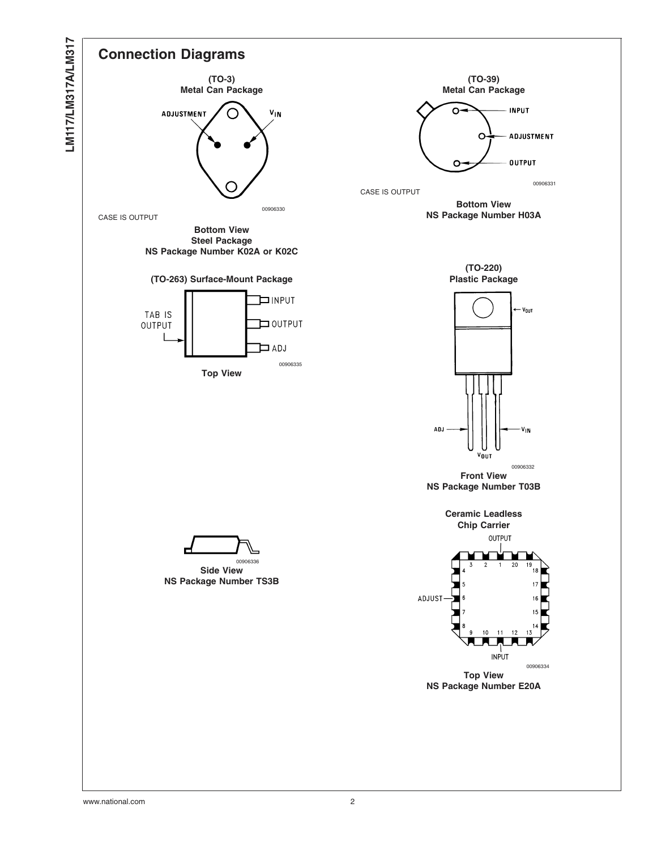

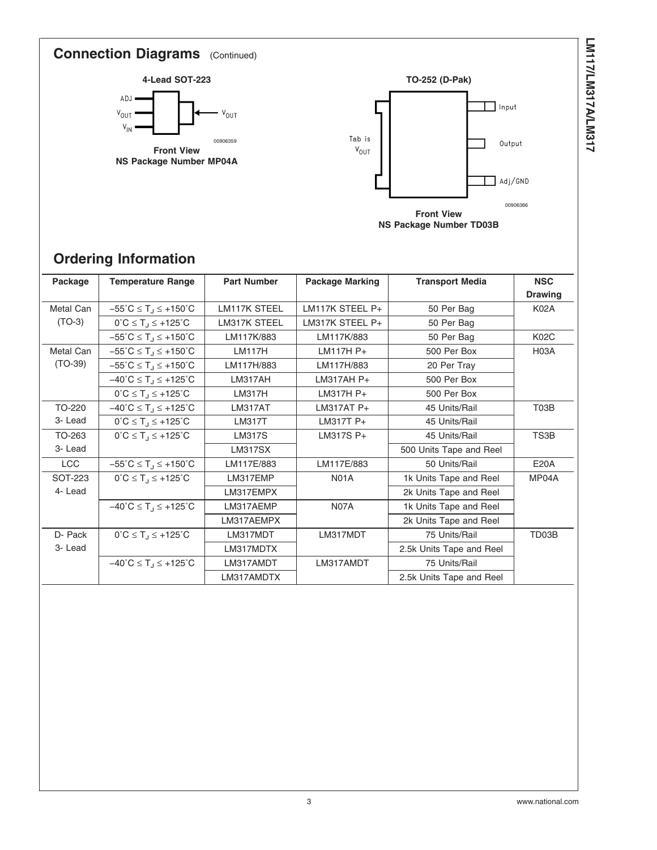# **Connection Diagrams** (Continued)





# **Ordering Information**

| Package   | <b>Temperature Range</b>                                        | <b>Part Number</b>  | <b>Package Marking</b> | <b>Transport Media</b>   | <b>NSC</b><br><b>Drawing</b> |
|-----------|-----------------------------------------------------------------|---------------------|------------------------|--------------------------|------------------------------|
| Metal Can | $-55^{\circ}C \le T_J \le +150^{\circ}C$                        | <b>LM117K STEEL</b> | LM117K STEEL P+        | 50 Per Bag               | <b>K02A</b>                  |
| $(TO-3)$  | $0^{\circ}C \leq T_J \leq +125^{\circ}C$                        | <b>LM317K STEEL</b> | LM317K STEEL P+        | 50 Per Bag               |                              |
|           | $-55^{\circ}$ C $\leq$ T <sub>.1</sub> $\leq$ +150 $^{\circ}$ C | LM117K/883          | LM117K/883             | 50 Per Bag               | <b>K02C</b>                  |
| Metal Can | $-55^{\circ}C \le T_J \le +150^{\circ}C$                        | <b>LM117H</b>       | LM117H P+              | 500 Per Box              | <b>H03A</b>                  |
| $(TO-39)$ | $-55^{\circ}C \le T_J \le +150^{\circ}C$                        | LM117H/883          | LM117H/883             | 20 Per Tray              |                              |
|           | $-40^{\circ}$ C $\leq$ T <sub>J</sub> $\leq$ +125 $^{\circ}$ C  | LM317AH             | $LM317AH P+$           | 500 Per Box              |                              |
|           | $0^{\circ}C \leq T_J \leq +125^{\circ}C$                        | <b>LM317H</b>       | LM317H P+              | 500 Per Box              |                              |
| TO-220    | $-40^{\circ}C \leq T_J \leq +125^{\circ}C$                      | <b>LM317AT</b>      | $LM317AT P+$           | 45 Units/Rail            | T <sub>0</sub> 3B            |
| 3- Lead   | $0^{\circ}C \leq T_{1} \leq +125^{\circ}C$                      | <b>LM317T</b>       | LM317T P+              | 45 Units/Rail            |                              |
| TO-263    | $0^{\circ}C \leq T_J \leq +125^{\circ}C$                        | <b>LM317S</b>       | LM317S P+              | 45 Units/Rail            | TS3B                         |
| 3- Lead   |                                                                 | <b>LM317SX</b>      |                        | 500 Units Tape and Reel  |                              |
| LCC       | $-55^{\circ}C \le T_J \le +150^{\circ}C$                        | LM117E/883          | LM117E/883             | 50 Units/Rail            | <b>E20A</b>                  |
| SOT-223   | $0^{\circ}C \leq T_J \leq +125^{\circ}C$                        | LM317EMP            | <b>N01A</b>            | 1k Units Tape and Reel   | MP04A                        |
| 4- Lead   |                                                                 | LM317EMPX           |                        | 2k Units Tape and Reel   |                              |
|           | $-40^{\circ}C \leq T_J \leq +125^{\circ}C$                      | LM317AEMP           | <b>N07A</b>            | 1k Units Tape and Reel   |                              |
|           |                                                                 | LM317AEMPX          |                        | 2k Units Tape and Reel   |                              |
| D- Pack   | $0^{\circ}C \leq T_{1} \leq +125^{\circ}C$                      | LM317MDT            | LM317MDT               | 75 Units/Rail            | TD03B                        |
| 3- Lead   |                                                                 | LM317MDTX           |                        | 2.5k Units Tape and Reel |                              |
|           | $-40^{\circ}C \leq T_J \leq +125^{\circ}C$                      | LM317AMDT           | LM317AMDT              | 75 Units/Rail            |                              |
|           |                                                                 | LM317AMDTX          |                        | 2.5k Units Tape and Reel |                              |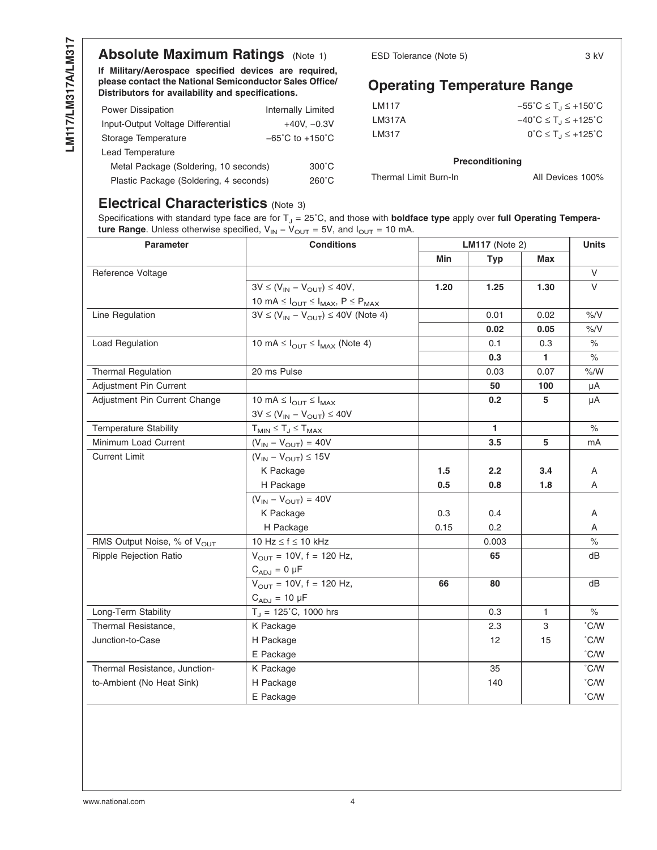# **Absolute Maximum Ratings** [\(Note 1\)](#page-4-0)

**If Military/Aerospace specified devices are required, please contact the National Semiconductor Sales Office/ Distributors for availability and specifications.**

| <b>Power Dissipation</b>               | Internally Limited                  |
|----------------------------------------|-------------------------------------|
| Input-Output Voltage Differential      | $+40V. -0.3V$                       |
| Storage Temperature                    | $-65^{\circ}$ C to $+150^{\circ}$ C |
| Lead Temperature                       |                                     |
| Metal Package (Soldering, 10 seconds)  | $300^{\circ}$ C                     |
| Plastic Package (Soldering, 4 seconds) | $260^{\circ}$ C                     |

ESD Tolerance [\(Note 5\)](#page-4-0) 3 kV

## **Operating Temperature Range**

| $-55^{\circ}$ C $\leq$ T <sub>J</sub> $\leq$ +150 $^{\circ}$ C |
|----------------------------------------------------------------|
| $-40^{\circ}$ C $\leq$ T <sub>J</sub> $\leq$ +125 $^{\circ}$ C |
| $0^{\circ}C \leq T_1 \leq +125^{\circ}C$                       |
|                                                                |

#### **Preconditioning**

All Devices 100%

#### **Electrical Characteristics** [\(Note 3\)](#page-4-0)

Specifications with standard type face are for T<sub>J</sub> = 25°C, and those with **boldface type** apply over full Operating Tempera**ture Range**. Unless otherwise specified,  $V_{IN} - V_{OUT} = 5V$ , and  $I_{OUT} = 10$  mA.

| <b>Parameter</b>                        | <b>Conditions</b>                                                               |      | <b>LM117</b> (Note 2) |            |               |  |
|-----------------------------------------|---------------------------------------------------------------------------------|------|-----------------------|------------|---------------|--|
|                                         |                                                                                 | Min  | <b>Typ</b>            | <b>Max</b> |               |  |
| Reference Voltage                       |                                                                                 |      |                       |            | $\vee$        |  |
|                                         | $3V \leq (V_{IN} - V_{OUT}) \leq 40V$ ,                                         | 1.20 | 1.25                  | 1.30       | $\vee$        |  |
|                                         | 10 mA $\leq$ $I_{\text{OUT}} \leq$ $I_{\text{MAX}}$ , $P \leq$ $P_{\text{MAX}}$ |      |                       |            |               |  |
| Line Regulation                         | $3V \le (V_{IN} - V_{OUT}) \le 40V$ (Note 4)                                    |      | 0.01                  | 0.02       | $\% / V$      |  |
|                                         |                                                                                 |      | 0.02                  | 0.05       | %/V           |  |
| Load Regulation                         | 10 mA $\leq$ $I_{\text{OUT}} \leq$ $I_{\text{MAX}}$ (Note 4)                    |      | 0.1                   | 0.3        | $\%$          |  |
|                                         |                                                                                 |      | 0.3                   | 1.         | $\%$          |  |
| <b>Thermal Regulation</b>               | 20 ms Pulse                                                                     |      | 0.03                  | 0.07       | % /W          |  |
| Adjustment Pin Current                  |                                                                                 |      | 50                    | 100        | μA            |  |
| Adjustment Pin Current Change           | 10 mA $\leq$ $I_{\text{OUT}} \leq$ $I_{\text{MAX}}$                             |      | 0.2                   | 5          | μA            |  |
|                                         | $3V \le (V_{IN} - V_{OUT}) \le 40V$                                             |      |                       |            |               |  |
| <b>Temperature Stability</b>            | $T_{MIN} \leq T_J \leq T_{MAX}$                                                 |      | $\mathbf{1}$          |            | $\%$          |  |
| Minimum Load Current                    | $(V_{IN} - V_{OUT}) = 40V$                                                      |      | 3.5                   | 5          | mA            |  |
| <b>Current Limit</b>                    | $(V_{IN} - V_{OUT}) \le 15V$                                                    |      |                       |            |               |  |
|                                         | K Package                                                                       | 1.5  | 2.2                   | 3.4        | A             |  |
|                                         | H Package                                                                       | 0.5  | 0.8                   | 1.8        | A             |  |
|                                         | $(V_{IN} - V_{OUT}) = 40V$                                                      |      |                       |            |               |  |
|                                         | K Package                                                                       | 0.3  | 0.4                   |            | A             |  |
|                                         | H Package                                                                       | 0.15 | 0.2                   |            | A             |  |
| RMS Output Noise, % of V <sub>OUT</sub> | 10 Hz ≤ f ≤ 10 kHz                                                              |      | 0.003                 |            | $\%$          |  |
| Ripple Rejection Ratio                  | $V_{\text{OUT}} = 10V, f = 120$ Hz,                                             |      | 65                    |            | dВ            |  |
|                                         | $C_{ADJ} = 0 \mu F$                                                             |      |                       |            |               |  |
|                                         | $V_{\text{OUT}} = 10V, f = 120$ Hz,                                             | 66   | 80                    |            | dB            |  |
|                                         | $C_{ADJ} = 10 \mu F$                                                            |      |                       |            |               |  |
| Long-Term Stability                     | $T_J = 125^{\circ}C$ , 1000 hrs                                                 |      | 0.3                   | 1.         | $\%$          |  |
| Thermal Resistance,                     | K Package                                                                       |      | 2.3                   | 3          | °C/W          |  |
| Junction-to-Case                        | H Package                                                                       |      | 12                    | 15         | $\degree$ C/W |  |
|                                         | E Package                                                                       |      |                       |            | $\degree$ C/W |  |
| Thermal Resistance, Junction-           | K Package                                                                       |      | 35                    |            | °C/W          |  |
| to-Ambient (No Heat Sink)               | H Package                                                                       |      | 140                   |            | $\degree$ C/W |  |
|                                         | E Package                                                                       |      |                       |            | $\degree$ C/W |  |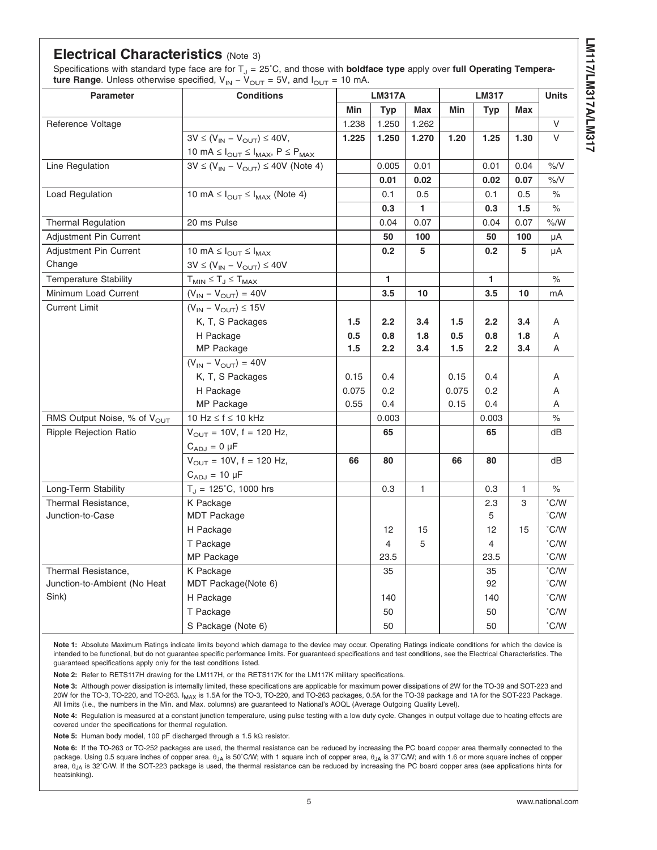### <span id="page-4-0"></span>**Electrical Characteristics** (Note 3)

Specifications with standard type face are for T<sub>J</sub> = 25°C, and those with **boldface type** apply over **full Operating Temperature Range.** Unless otherwise specified,  $V_{\text{IN}} - V_{\text{OUT}} = 5V$ , and  $I_{\text{OUT}} = 10$  mA.

| <b>Parameter</b>                        | $\cup$<br>$\cup$<br><b>Conditions</b>                                           | <b>LM317A</b> |              |              | <b>LM317</b> |                  | <b>Units</b> |                      |
|-----------------------------------------|---------------------------------------------------------------------------------|---------------|--------------|--------------|--------------|------------------|--------------|----------------------|
|                                         |                                                                                 | Min           | <b>Typ</b>   | Max          | Min          | <b>Typ</b>       | Max          |                      |
| Reference Voltage                       |                                                                                 | 1.238         | 1.250        | 1.262        |              |                  |              | V                    |
|                                         | $3V \leq (V_{IN} - V_{OUT}) \leq 40V,$                                          | 1.225         | 1.250        | 1.270        | 1.20         | 1.25             | 1.30         | V                    |
|                                         | 10 mA $\leq$ $I_{\text{OUT}} \leq$ $I_{\text{MAX}}$ , $P \leq$ $P_{\text{MAX}}$ |               |              |              |              |                  |              |                      |
| Line Regulation                         | $3V \le (V_{IN} - V_{OUT}) \le 40V$ (Note 4)                                    |               | 0.005        | 0.01         |              | 0.01             | 0.04         | $\%$ /V              |
|                                         |                                                                                 |               | 0.01         | 0.02         |              | 0.02             | 0.07         | %N                   |
| <b>Load Regulation</b>                  | 10 mA $\leq$ $I_{\text{OUT}} \leq$ $I_{\text{MAX}}$ (Note 4)                    |               | 0.1          | 0.5          |              | 0.1              | 0.5          | $\%$                 |
|                                         |                                                                                 |               | 0.3          | 1.           |              | 0.3              | 1.5          | $\frac{1}{\sqrt{2}}$ |
| <b>Thermal Regulation</b>               | 20 ms Pulse                                                                     |               | 0.04         | 0.07         |              | 0.04             | 0.07         | $\%$ /W              |
| <b>Adjustment Pin Current</b>           |                                                                                 |               | 50           | 100          |              | 50               | 100          | μA                   |
| <b>Adjustment Pin Current</b>           | 10 mA $\leq$ $I_{OUT}$ $\leq$ $I_{MAX}$                                         |               | 0.2          | 5            |              | 0.2              | 5            | μA                   |
| Change                                  | $3V \leq (V_{IN} - V_{OUT}) \leq 40V$                                           |               |              |              |              |                  |              |                      |
| <b>Temperature Stability</b>            | $T_{MIN} \leq T_J \leq T_{MAX}$                                                 |               | $\mathbf{1}$ |              |              | 1                |              | $\%$                 |
| Minimum Load Current                    | $(V_{IN} - V_{OUT}) = 40V$                                                      |               | 3.5          | 10           |              | 3.5              | 10           | mA                   |
| <b>Current Limit</b>                    | $(V_{IN} - V_{OUT}) \leq 15V$                                                   |               |              |              |              |                  |              |                      |
|                                         | K, T, S Packages                                                                | 1.5           | 2.2          | 3.4          | 1.5          | $2.2\phantom{0}$ | 3.4          | A                    |
|                                         | H Package                                                                       | 0.5           | 0.8          | 1.8          | 0.5          | 0.8              | 1.8          | A                    |
|                                         | MP Package                                                                      | 1.5           | 2.2          | 3.4          | 1.5          | 2.2              | 3.4          | Α                    |
|                                         | $(V_{IN} - V_{OUT}) = 40V$                                                      |               |              |              |              |                  |              |                      |
|                                         | K, T, S Packages                                                                | 0.15          | 0.4          |              | 0.15         | 0.4              |              | Α                    |
|                                         | H Package                                                                       | 0.075         | 0.2          |              | 0.075        | 0.2              |              | Α                    |
|                                         | MP Package                                                                      | 0.55          | 0.4          |              | 0.15         | 0.4              |              | Α                    |
| RMS Output Noise, % of V <sub>OUT</sub> | 10 Hz $\leq$ f $\leq$ 10 kHz                                                    |               | 0.003        |              |              | 0.003            |              | $\%$                 |
| <b>Ripple Rejection Ratio</b>           | $V_{OUT}$ = 10V, f = 120 Hz,                                                    |               | 65           |              |              | 65               |              | dB                   |
|                                         | $C_{ADJ} = 0 \mu F$                                                             |               |              |              |              |                  |              |                      |
|                                         | $V_{OUT}$ = 10V, f = 120 Hz,                                                    | 66            | 80           |              | 66           | 80               |              | dB                   |
|                                         | $C_{ADJ} = 10 \mu F$                                                            |               |              |              |              |                  |              |                      |
| Long-Term Stability                     | $T_{J}$ = 125°C, 1000 hrs                                                       |               | 0.3          | $\mathbf{1}$ |              | 0.3              | $\mathbf{1}$ | $\%$                 |
| Thermal Resistance,                     | K Package                                                                       |               |              |              |              | 2.3              | 3            | °C/W                 |
| Junction-to-Case                        | <b>MDT Package</b>                                                              |               |              |              |              | 5                |              | °C/W                 |
|                                         | H Package                                                                       |               | 12           | 15           |              | 12               | 15           | $\degree$ C/W        |
|                                         | T Package                                                                       |               | 4            | 5            |              | 4                |              | $\degree$ C/W        |
|                                         | MP Package                                                                      |               | 23.5         |              |              | 23.5             |              | °C/W                 |
| Thermal Resistance,                     | K Package                                                                       |               | 35           |              |              | 35               |              | $\degree$ C/W        |
| Junction-to-Ambient (No Heat            | MDT Package(Note 6)                                                             |               |              |              |              | 92               |              | °C/W                 |
| Sink)                                   | H Package                                                                       |               | 140          |              |              | 140              |              | °C/W                 |
|                                         | T Package                                                                       |               | 50           |              |              | 50               |              | °C/W                 |
|                                         | S Package (Note 6)                                                              |               | 50           |              |              | 50               |              | $\degree$ C/W        |

**Note 1:** Absolute Maximum Ratings indicate limits beyond which damage to the device may occur. Operating Ratings indicate conditions for which the device is intended to be functional, but do not guarantee specific performance limits. For guaranteed specifications and test conditions, see the Electrical Characteristics. The guaranteed specifications apply only for the test conditions listed.

**Note 2:** Refer to RETS117H drawing for the LM117H, or the RETS117K for the LM117K military specifications.

**Note 3:** Although power dissipation is internally limited, these specifications are applicable for maximum power dissipations of 2W for the TO-39 and SOT-223 and 20W for the TO-3, TO-220, and TO-263. I<sub>MAX</sub> is 1.5A for the TO-3, TO-220, and TO-263 packages, 0.5A for the TO-39 package and 1A for the SOT-223 Package. All limits (i.e., the numbers in the Min. and Max. columns) are guaranteed to National's AOQL (Average Outgoing Quality Level).

**Note 4:** Regulation is measured at a constant junction temperature, using pulse testing with a low duty cycle. Changes in output voltage due to heating effects are covered under the specifications for thermal regulation.

**Note 5:** Human body model, 100 pF discharged through a 1.5 kΩ resistor.

**Note 6:** If the TO-263 or TO-252 packages are used, the thermal resistance can be reduced by increasing the PC board copper area thermally connected to the package. Using 0.5 square inches of copper area. θ<sub>JA</sub> is 50°C/W; with 1 square inch of copper area, θ<sub>JA</sub> is 37°C/W; and with 1.6 or more square inches of copper area, θ<sub>JA</sub> is 32°C/W. If the SOT-223 package is used, the thermal resistance can be reduced by increasing the PC board copper area (see applications hints for heatsinking).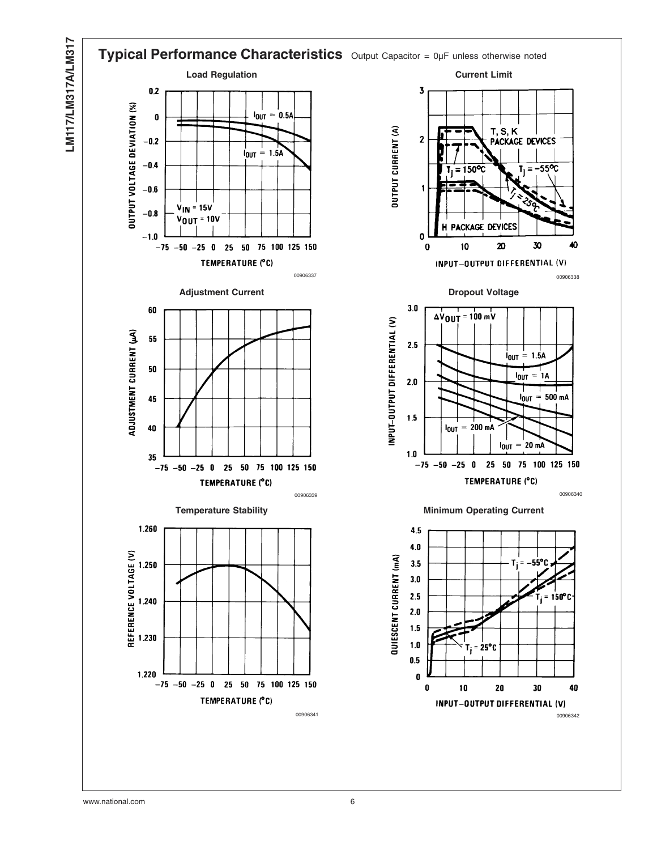

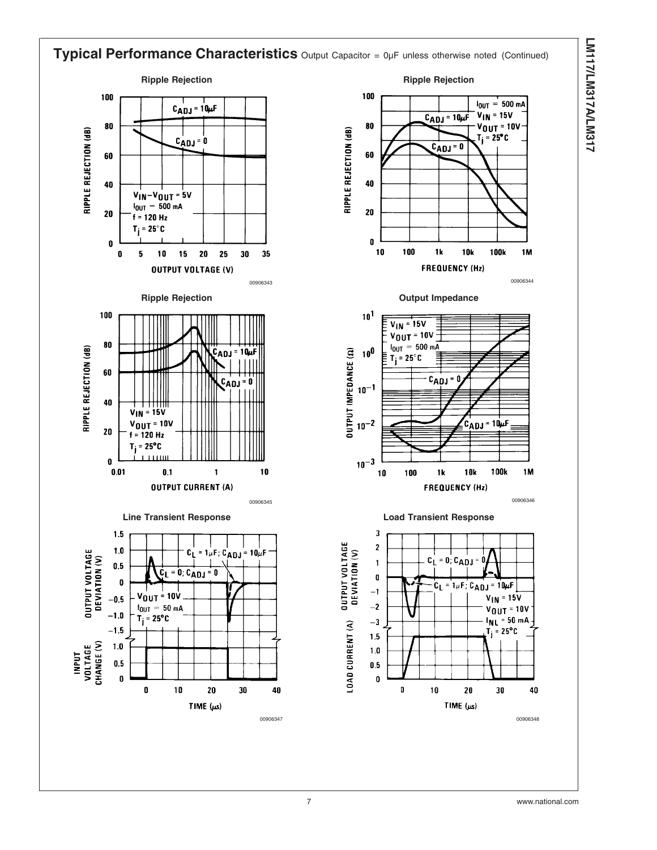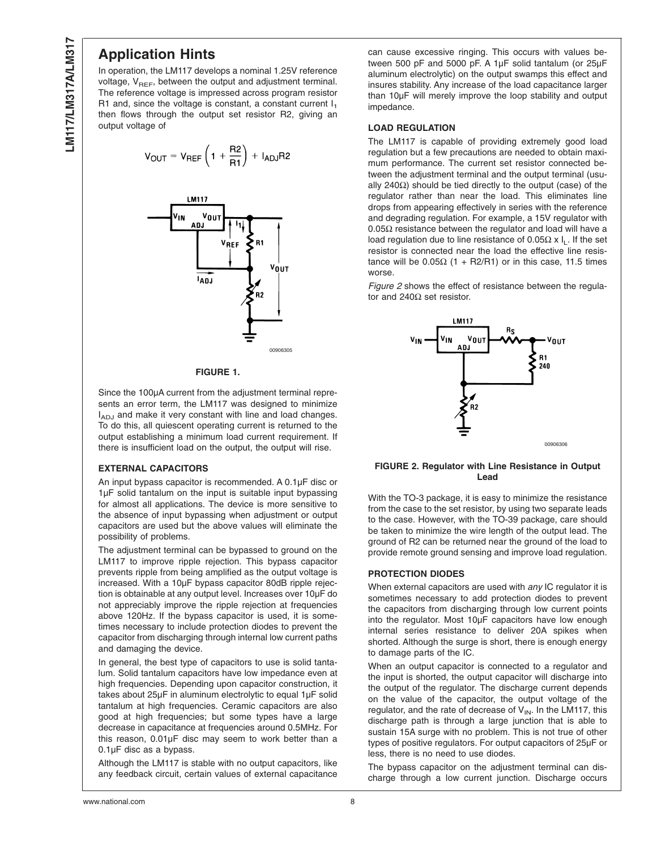#### **Application Hints**

In operation, the LM117 develops a nominal 1.25V reference voltage,  $V_{REF}$ , between the output and adjustment terminal. The reference voltage is impressed across program resistor R1 and, since the voltage is constant, a constant current  $I_1$ then flows through the output set resistor R2, giving an output voltage of

$$
V_{OUT} = V_{REF} \left( 1 + \frac{R2}{R1} \right) + I_{ADJ}R2
$$



#### **FIGURE 1.**

Since the 100µA current from the adjustment terminal represents an error term, the LM117 was designed to minimize  $I_{AD,J}$  and make it very constant with line and load changes. To do this, all quiescent operating current is returned to the output establishing a minimum load current requirement. If there is insufficient load on the output, the output will rise.

#### **EXTERNAL CAPACITORS**

An input bypass capacitor is recommended. A 0.1µF disc or 1µF solid tantalum on the input is suitable input bypassing for almost all applications. The device is more sensitive to the absence of input bypassing when adjustment or output capacitors are used but the above values will eliminate the possibility of problems.

The adjustment terminal can be bypassed to ground on the LM117 to improve ripple rejection. This bypass capacitor prevents ripple from being amplified as the output voltage is increased. With a 10µF bypass capacitor 80dB ripple rejection is obtainable at any output level. Increases over 10µF do not appreciably improve the ripple rejection at frequencies above 120Hz. If the bypass capacitor is used, it is sometimes necessary to include protection diodes to prevent the capacitor from discharging through internal low current paths and damaging the device.

In general, the best type of capacitors to use is solid tantalum. Solid tantalum capacitors have low impedance even at high frequencies. Depending upon capacitor construction, it takes about 25µF in aluminum electrolytic to equal 1µF solid tantalum at high frequencies. Ceramic capacitors are also good at high frequencies; but some types have a large decrease in capacitance at frequencies around 0.5MHz. For this reason, 0.01µF disc may seem to work better than a 0.1µF disc as a bypass.

Although the LM117 is stable with no output capacitors, like any feedback circuit, certain values of external capacitance can cause excessive ringing. This occurs with values between 500 pF and 5000 pF. A 1µF solid tantalum (or 25µF aluminum electrolytic) on the output swamps this effect and insures stability. Any increase of the load capacitance larger than 10µF will merely improve the loop stability and output impedance.

#### **LOAD REGULATION**

The LM117 is capable of providing extremely good load regulation but a few precautions are needed to obtain maximum performance. The current set resistor connected between the adjustment terminal and the output terminal (usually 240Ω) should be tied directly to the output (case) of the regulator rather than near the load. This eliminates line drops from appearing effectively in series with the reference and degrading regulation. For example, a 15V regulator with  $0.05\Omega$  resistance between the regulator and load will have a load regulation due to line resistance of 0.05Ω x  $I_1$ . If the set resistor is connected near the load the effective line resistance will be  $0.05Ω$  (1 + R2/R1) or in this case, 11.5 times worse.

*Figure 2* shows the effect of resistance between the regulator and 240Ω set resistor.



#### **FIGURE 2. Regulator with Line Resistance in Output Lead**

With the TO-3 package, it is easy to minimize the resistance from the case to the set resistor, by using two separate leads to the case. However, with the TO-39 package, care should be taken to minimize the wire length of the output lead. The ground of R2 can be returned near the ground of the load to provide remote ground sensing and improve load regulation.

#### **PROTECTION DIODES**

When external capacitors are used with *any* IC regulator it is sometimes necessary to add protection diodes to prevent the capacitors from discharging through low current points into the regulator. Most 10µF capacitors have low enough internal series resistance to deliver 20A spikes when shorted. Although the surge is short, there is enough energy to damage parts of the IC.

When an output capacitor is connected to a regulator and the input is shorted, the output capacitor will discharge into the output of the regulator. The discharge current depends on the value of the capacitor, the output voltage of the regulator, and the rate of decrease of  $V_{IN}$ . In the LM117, this discharge path is through a large junction that is able to sustain 15A surge with no problem. This is not true of other types of positive regulators. For output capacitors of 25µF or less, there is no need to use diodes.

The bypass capacitor on the adjustment terminal can discharge through a low current junction. Discharge occurs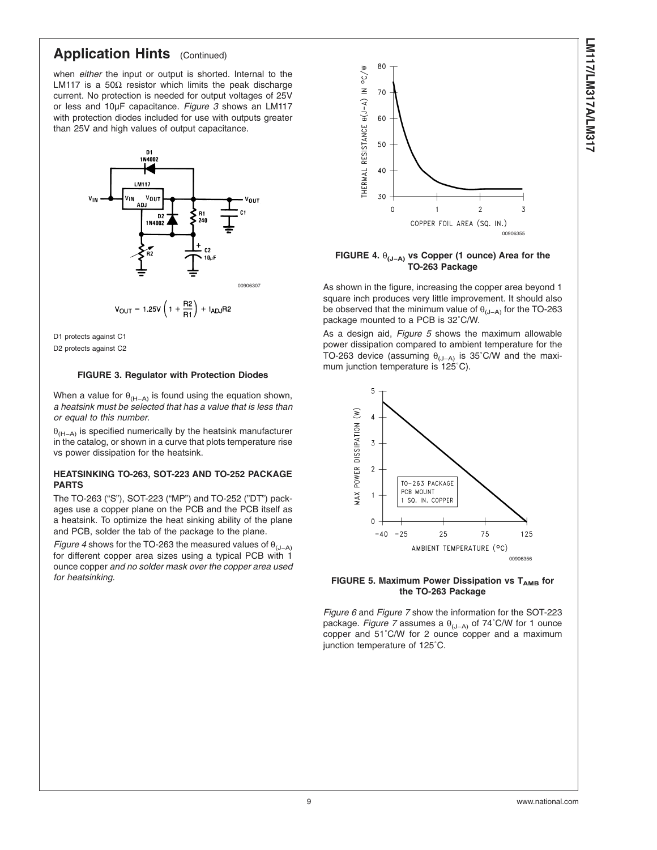## **Application Hints** (Continued)

when *either* the input or output is shorted. Internal to the LM117 is a 50Ω resistor which limits the peak discharge current. No protection is needed for output voltages of 25V or less and 10µF capacitance. *Figure 3* shows an LM117 with protection diodes included for use with outputs greater than 25V and high values of output capacitance.



D1 protects against C1

D2 protects against C2

#### **FIGURE 3. Regulator with Protection Diodes**

When a value for  $\theta_{(H-A)}$  is found using the equation shown, *a heatsink must be selected that has a value that is less than or equal to this number.*

 $\theta$ <sub>(H−A)</sub> is specified numerically by the heatsink manufacturer in the catalog, or shown in a curve that plots temperature rise vs power dissipation for the heatsink.

#### **HEATSINKING TO-263, SOT-223 AND TO-252 PACKAGE PARTS**

The TO-263 ("S"), SOT-223 ("MP") and TO-252 ("DT") packages use a copper plane on the PCB and the PCB itself as a heatsink. To optimize the heat sinking ability of the plane and PCB, solder the tab of the package to the plane.

*Figure 4* shows for the TO-263 the measured values of  $\theta_{(J-A)}$ for different copper area sizes using a typical PCB with 1 ounce copper *and no solder mask over the copper area used for heatsinking.*



**FIGURE 4.** θ**(J−A) vs Copper (1 ounce) Area for the TO-263 Package**

As shown in the figure, increasing the copper area beyond 1 square inch produces very little improvement. It should also be observed that the minimum value of  $\theta_{(J-A)}$  for the TO-263 package mounted to a PCB is 32˚C/W.

As a design aid, *Figure 5* shows the maximum allowable power dissipation compared to ambient temperature for the TO-263 device (assuming  $\theta_{(\mathsf{J-A})}$  is 35˚C/W and the maximum junction temperature is 125˚C).



#### **FIGURE 5. Maximum Power Dissipation vs T<sub>AMB</sub> for the TO-263 Package**

*[Figure 6](#page-9-0)* and *[Figure 7](#page-9-0)* show the information for the SOT-223 package. *[Figure 7](#page-9-0)* assumes a θ(J−A) of 74˚C/W for 1 ounce copper and 51˚C/W for 2 ounce copper and a maximum junction temperature of 125˚C.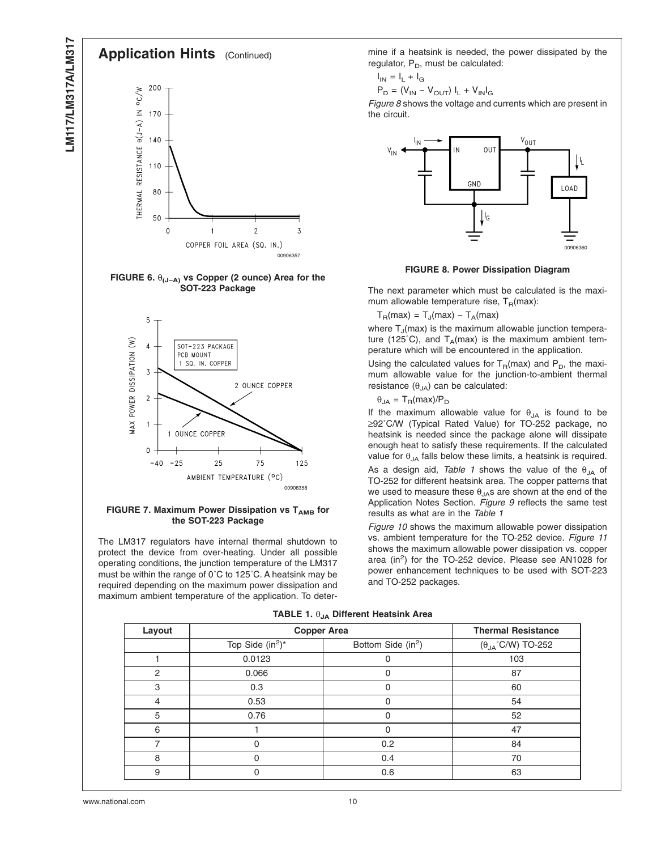#### <span id="page-9-0"></span>**Application Hints** (Continued) 200  $\sim$  C/W THERMAL RESISTANCE  $\theta(J-A)$  IN 170 140 110 80 50  $\overline{2}$  $\overline{3}$  $\mathbf 0$ COPPER FOIL AREA (SQ. IN.) 00906357

**FIGURE 6.** θ**(J−A) vs Copper (2 ounce) Area for the SOT-223 Package**



#### **FIGURE 7. Maximum Power Dissipation vs T<sub>AMB</sub> for the SOT-223 Package**

The LM317 regulators have internal thermal shutdown to protect the device from over-heating. Under all possible operating conditions, the junction temperature of the LM317 must be within the range of 0˚C to 125˚C. A heatsink may be required depending on the maximum power dissipation and maximum ambient temperature of the application. To determine if a heatsink is needed, the power dissipated by the regulator,  $P_D$ , must be calculated:

$$
I_{IN} = I_L + I_G
$$

$$
P_D = (V_{IN} - V_{OUT}) I_L + V_{IN} I_G
$$

*Figure 8* shows the voltage and currents which are present in the circuit.



#### **FIGURE 8. Power Dissipation Diagram**

The next parameter which must be calculated is the maximum allowable temperature rise,  $T_R(max)$ :

 $T_R(max) = T_J(max) - T_A(max)$ 

where  $T_{\text{J}}$ (max) is the maximum allowable junction temperature (125°C), and  $T_A(max)$  is the maximum ambient temperature which will be encountered in the application.

Using the calculated values for  $T_R(max)$  and  $P_D$ , the maximum allowable value for the junction-to-ambient thermal resistance  $(\theta_{JA})$  can be calculated:

 $\theta_{JA} = T_R(max)/P_D$ 

If the maximum allowable value for  $\theta_{JA}$  is found to be ≥92˚C/W (Typical Rated Value) for TO-252 package, no heatsink is needed since the package alone will dissipate enough heat to satisfy these requirements. If the calculated value for  $\theta_{JA}$  falls below these limits, a heatsink is required.

As a design aid, *Table 1* shows the value of the  $\theta_{JA}$  of TO-252 for different heatsink area. The copper patterns that we used to measure these  $\theta_{JA}$ s are shown at the end of the Application Notes Section. *[Figure 9](#page-10-0)* reflects the same test results as what are in the *Table 1*

*[Figure 10](#page-10-0)* shows the maximum allowable power dissipation vs. ambient temperature for the TO-252 device. *[Figure 11](#page-11-0)* shows the maximum allowable power dissipation vs. copper area (in<sup>2</sup>) for the TO-252 device. Please see AN1028 for power enhancement techniques to be used with SOT-223 and TO-252 packages.

|  |  |  | TABLE 1. $\theta_{JA}$ Different Heatsink Area |  |
|--|--|--|------------------------------------------------|--|
|--|--|--|------------------------------------------------|--|

| Layout | <b>Copper Area</b>  | <b>Thermal Resistance</b>      |                                    |
|--------|---------------------|--------------------------------|------------------------------------|
|        | Top Side $(in^2)^*$ | Bottom Side (in <sup>2</sup> ) | $(\theta_{JA}^{\circ}$ C/W) TO-252 |
|        | 0.0123              |                                | 103                                |
| 2      | 0.066               |                                | 87                                 |
| 3      | 0.3                 |                                | 60                                 |
| 4      | 0.53                |                                | 54                                 |
| 5      | 0.76                |                                | 52                                 |
| 6      |                     |                                | 47                                 |
|        |                     | 0.2                            | 84                                 |
| 8      | 0                   | 0.4                            | 70                                 |
| 9      |                     | 0.6                            | 63                                 |

www.national.com 10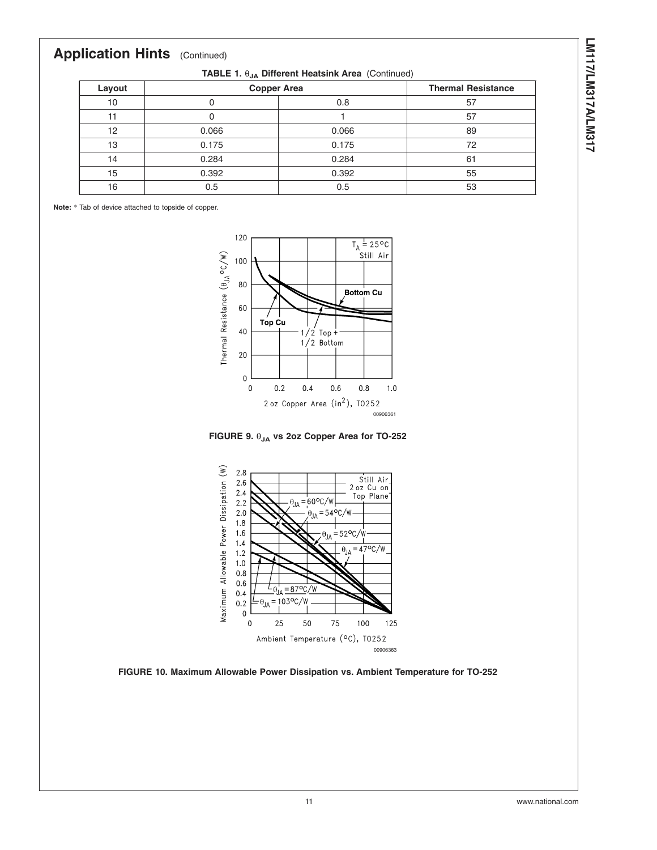# LM117/LM317A/LM317 **LM117/LM317A/LM317**

## <span id="page-10-0"></span>**Application Hints** (Continued)

**TABLE 1.** θ**JA Different Heatsink Area** (Continued)

| Layout |       | <b>Copper Area</b> |    |
|--------|-------|--------------------|----|
| 10     |       | 0.8                | 57 |
| 11     |       |                    | 57 |
| 12     | 0.066 | 0.066              | 89 |
| 13     | 0.175 | 0.175              | 72 |
| 14     | 0.284 | 0.284              | 61 |
| 15     | 0.392 | 0.392              | 55 |
| 16     | 0.5   | 0.5                | 53 |

**Note:** \* Tab of device attached to topside of copper.



**FIGURE 9.** θ**JA vs 2oz Copper Area for TO-252**



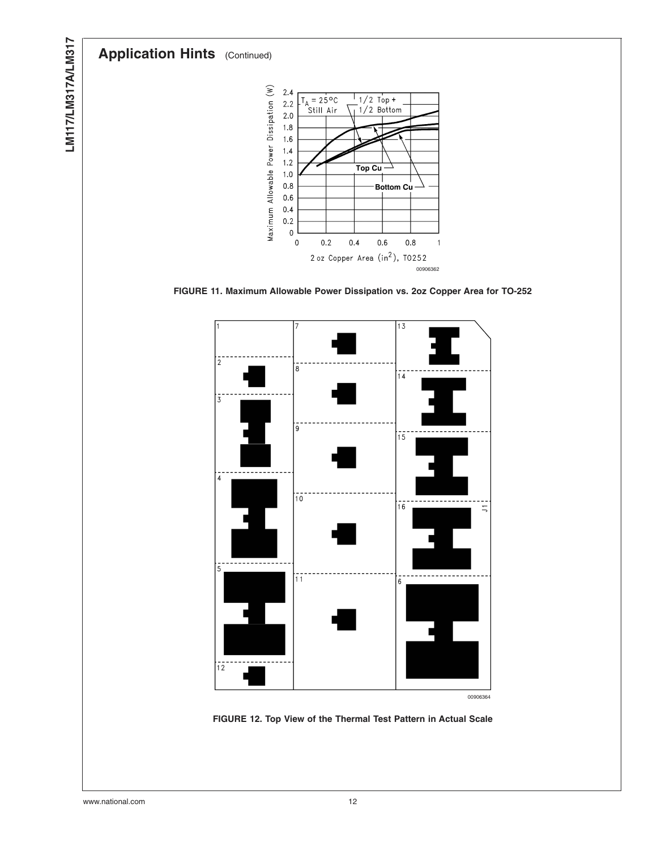# <span id="page-11-0"></span>**Application Hints** (Continued)



**FIGURE 11. Maximum Allowable Power Dissipation vs. 2oz Copper Area for TO-252**



**FIGURE 12. Top View of the Thermal Test Pattern in Actual Scale**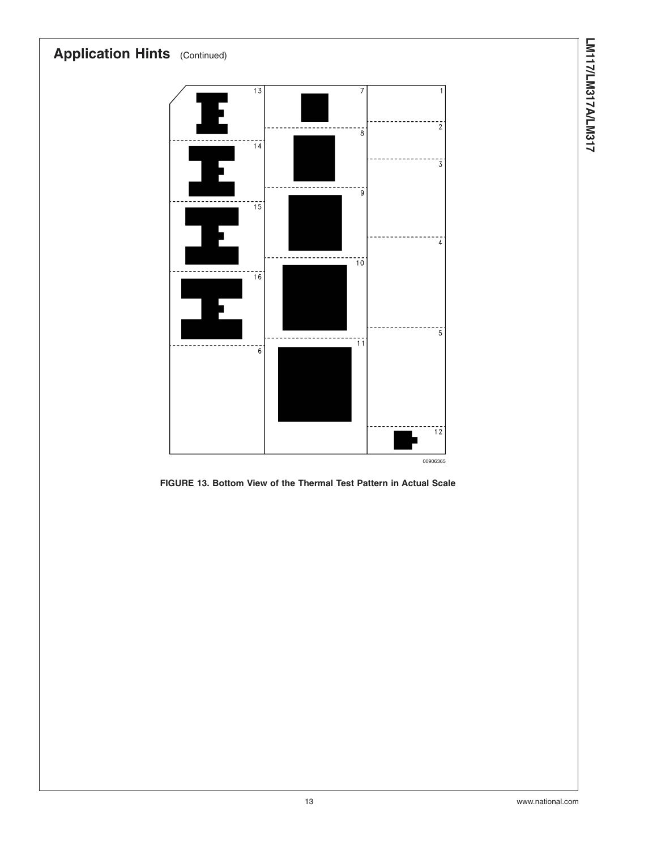

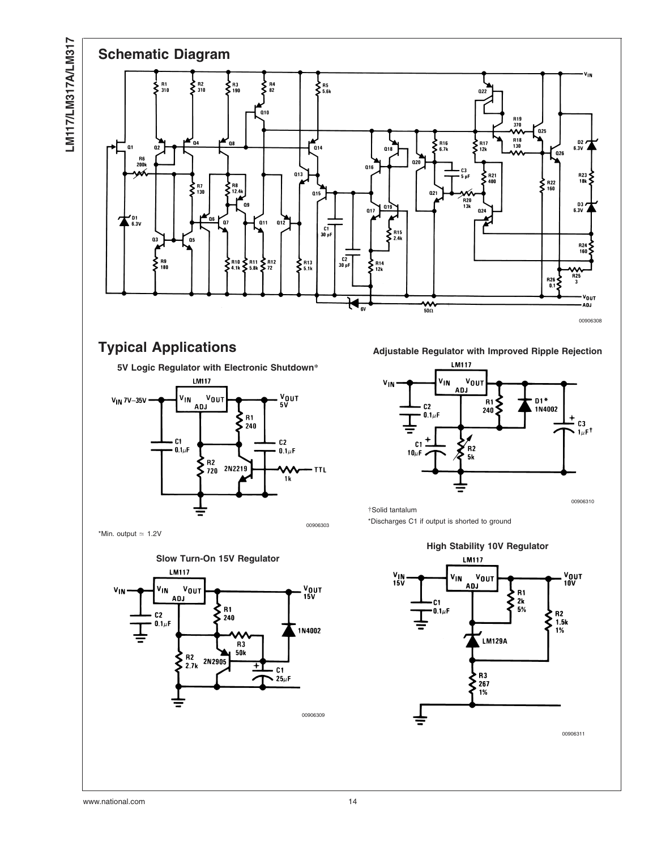LM117/LM317A/LM317 **LM117/LM317A/LM317**



**5V Logic Regulator with Electronic Shutdown\***



\*Min. output  $\approx$  1.2V





†Solid tantalum

\*Discharges C1 if output is shorted to ground

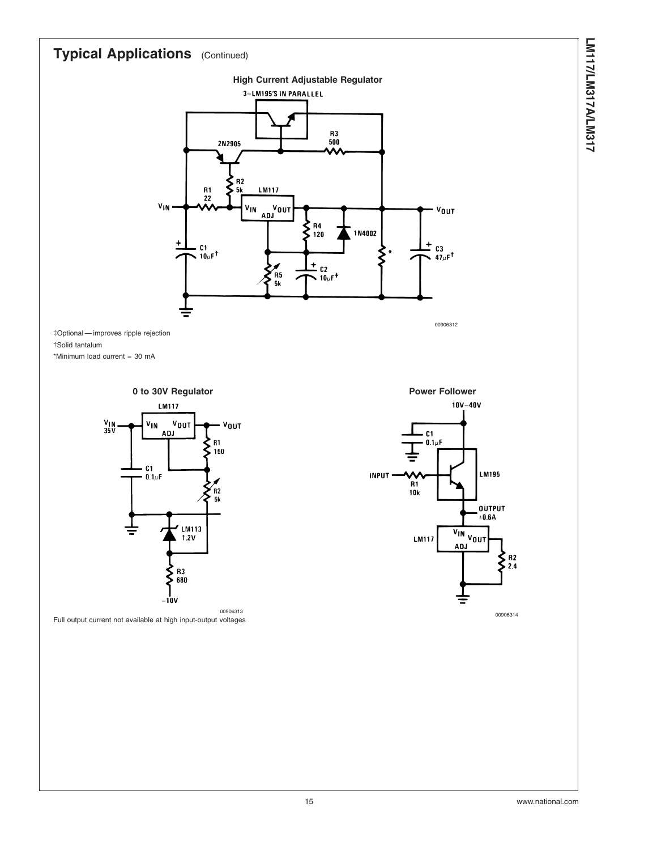

‡Optional — improves ripple rejection †Solid tantalum \*Minimum load current = 30 mA



Full output current not available at high input-output voltages

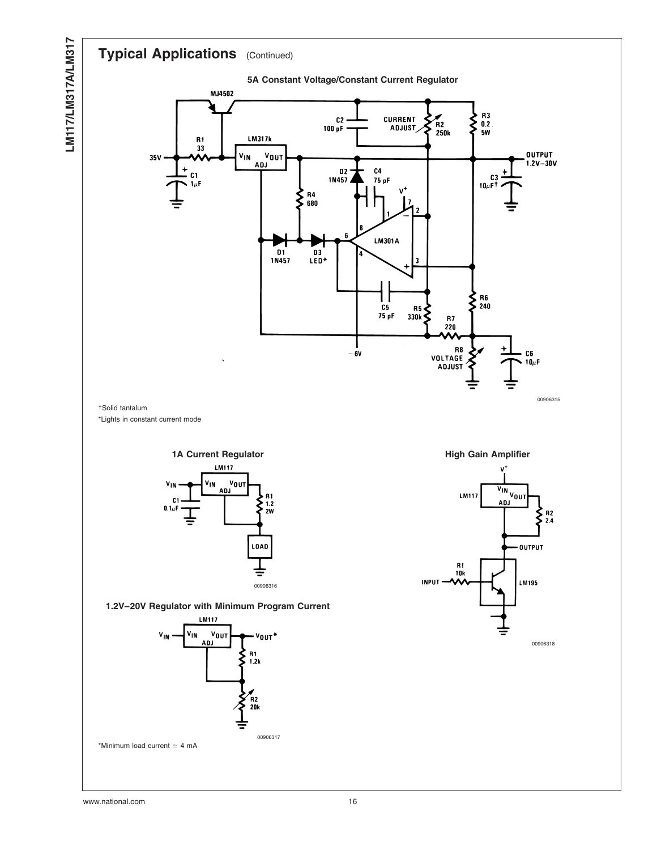**LM117/LM317A/LM317**

LM117/LM317A/LM317

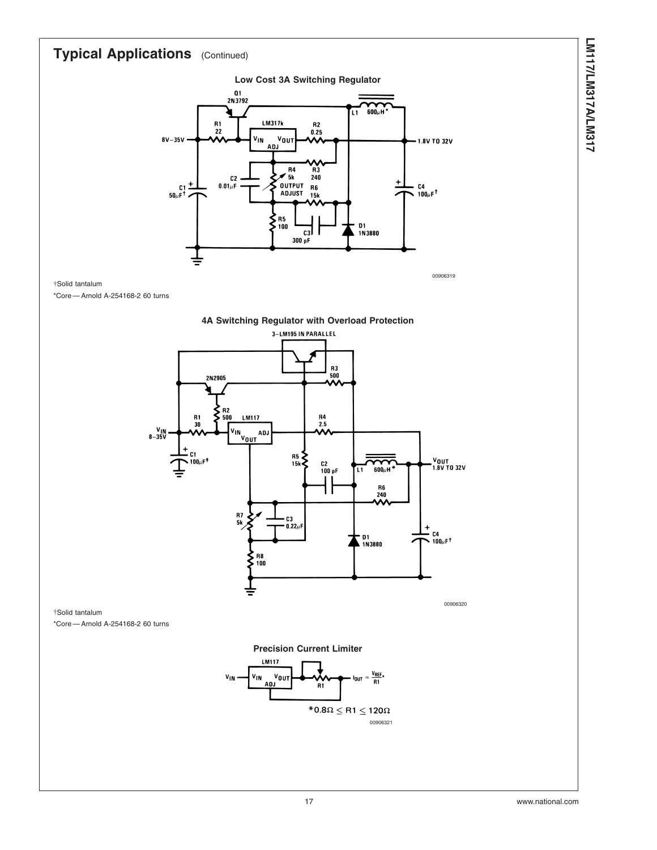

00906319

†Solid tantalum

\*Core — Arnold A-254168-2 60 turns



†Solid tantalum \*Core — Arnold A-254168-2 60 turns

**Precision Current Limiter**

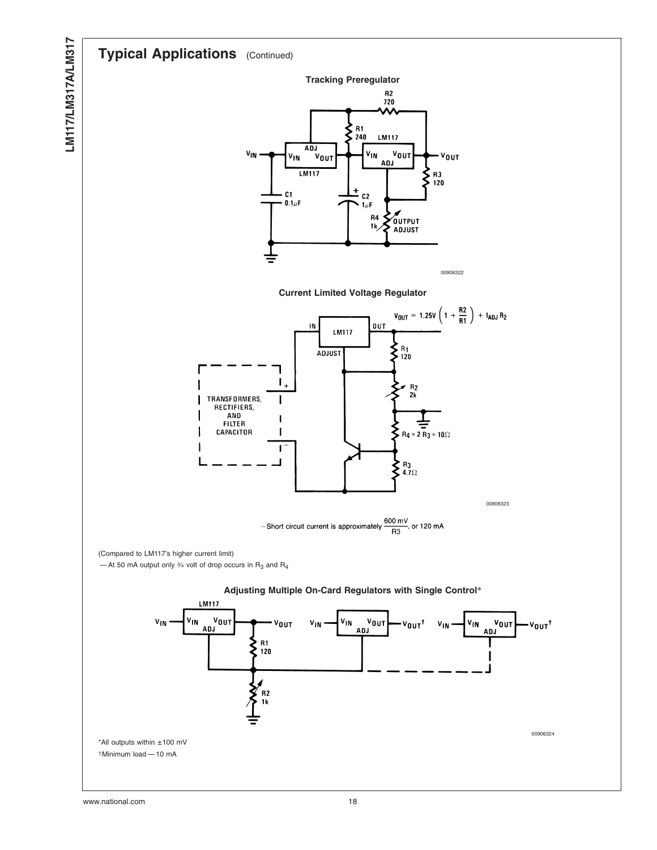

**LM117/LM317A/LM317**

LM117/LM317A/LM317



**Current Limited Voltage Regulator**



-Short circuit current is approximately  $\frac{600 \text{ mV}}{R3}$ , or 120 mA

(Compared to LM117's higher current limit)

— At 50 mA output only  $\frac{3}{4}$  volt of drop occurs in  $R_3$  and  $R_4$ 



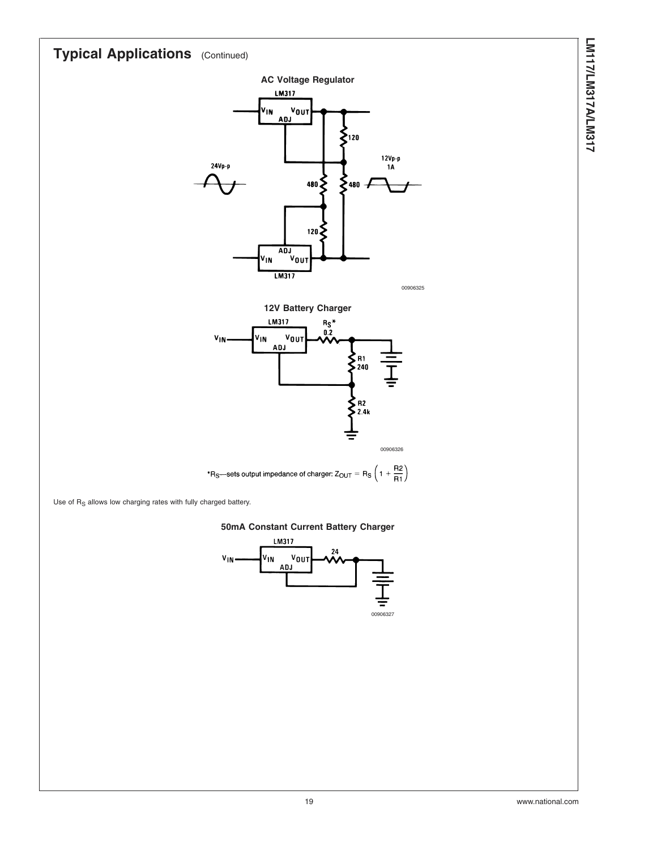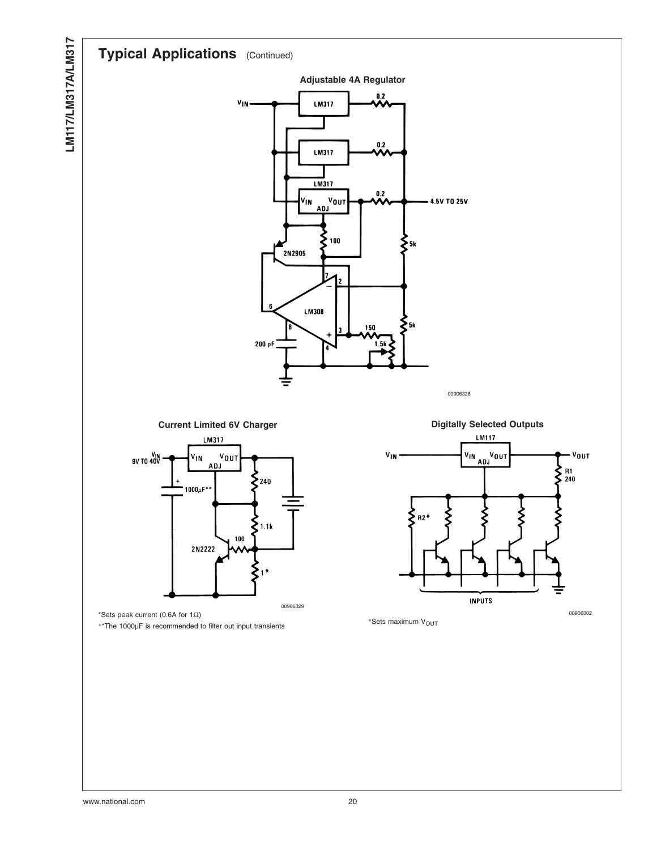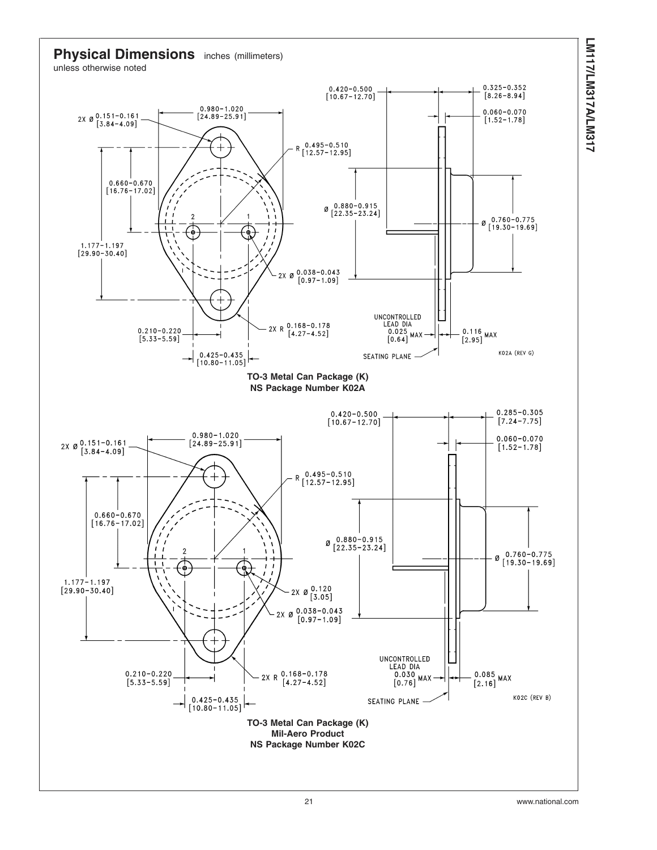

**LM117/LM317A/LM317**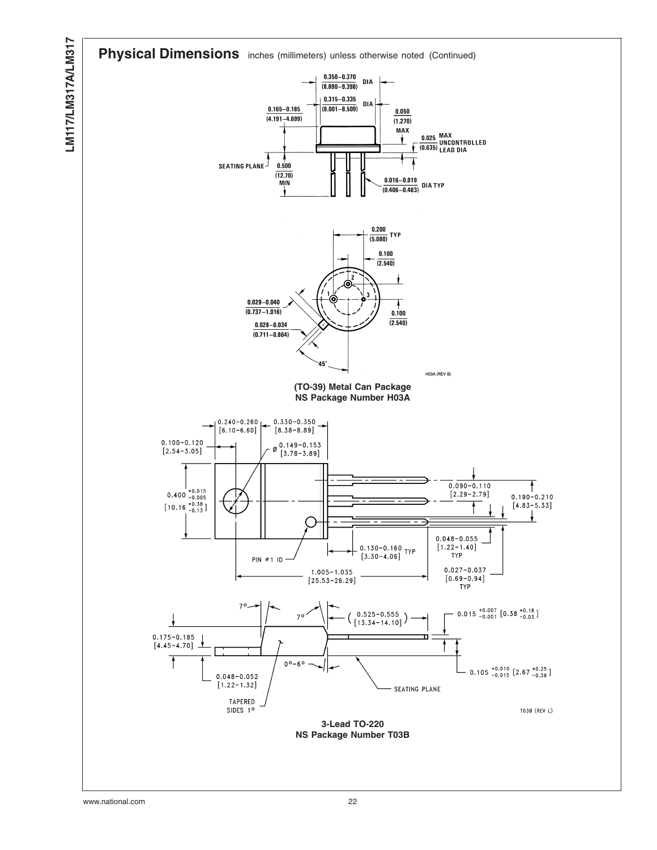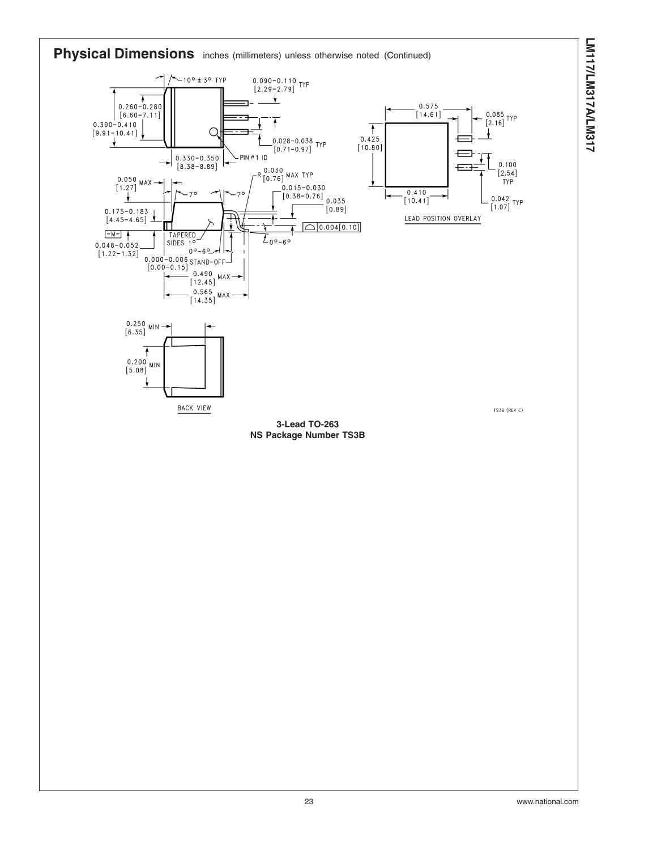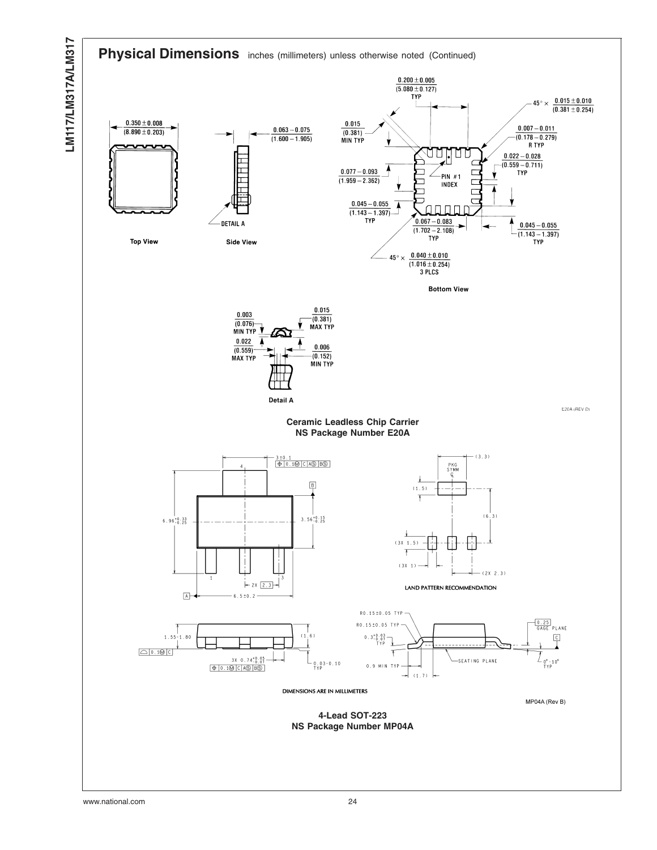